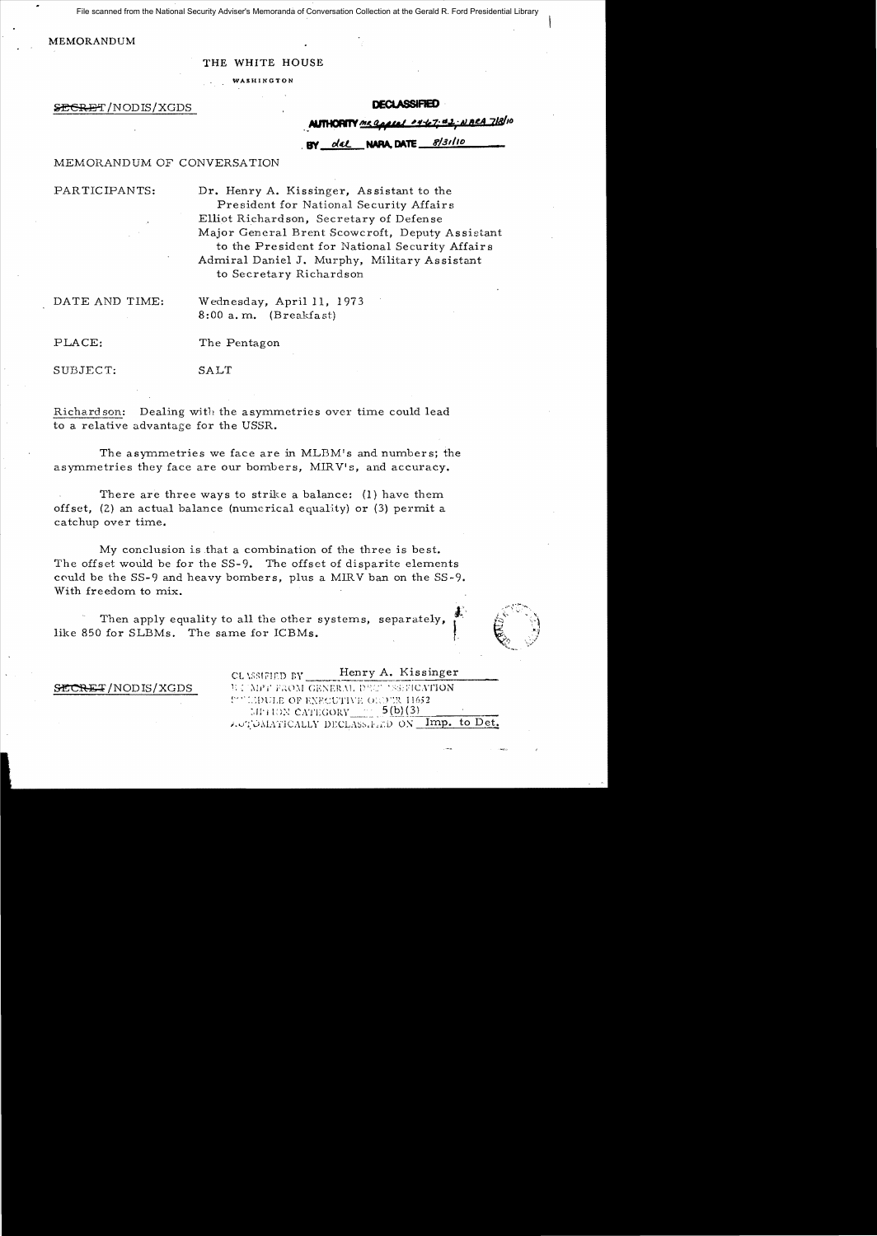File scanned from the National Security Adviser's Memoranda of Conversation Collection at the Gerald R. Ford Presidential Library

#### MEMORANDUM

# THE WHITE HOUSE WASHINGTON

#### <del>RE</del>T/NODIS/XGDS

**AUTHORITY** me a

8/31/10 BY del **NARA, DATE\_** 

## MEMORANDUM OF CONVERSATION

PARTICIPANTS: Dr. Henry A. Kissinger, Assistant to the President for National Security Affair s Elliot Richardson, Secretary of Defense Major General Brent Scowcroft, Deputy Assistant to the President for National Security Affair s Admiral Daniel J. Murphy, Military As sistant to Secretary Richardson

DATE AND TIME: Wednesday, April 11, 1973 8:00 a. m. (Breakfast)

PLACE: The Pentagon

SUBJECT: SALT

Richard son: Dealing with the asymmetries over time could lead to a relative advantage for the USSR.

The asymmetries we face are in MLBM's and numbers; the asymmetries they face are our bombers, MIRV's, and accuracy.

There are three ways to strike a balance: (l) have them offset,  $(2)$  an actual balance (numerical equality) or  $(3)$  permit a catchup over time.

My conclusion is that a combination of the three is best. The offset would be for the SS-9. The offset of disparite elements could be the  $SS-9$  and heavy bombers, plus a MIRV ban on the  $SS-9$ . With freedom to mix.

Then apply equality to all the other systems, separately, like 850 for SLBMs. The same for ICBMs.



CL \SSIFIED BY Henry A. Kissinger **SECRET/NODIS/XGDS** 1: UNFT FROM GENERAL DECY 'ASSECATION I''' IMPULE OF EXFCUTIVE ORDER 11652 :.11<sup>-</sup>j l:0N CATEGORY\_\_\_\_\_ 5(b)(3)  $i$ , J'OMATICALLY DECLASs. LED ON Imp. to Det.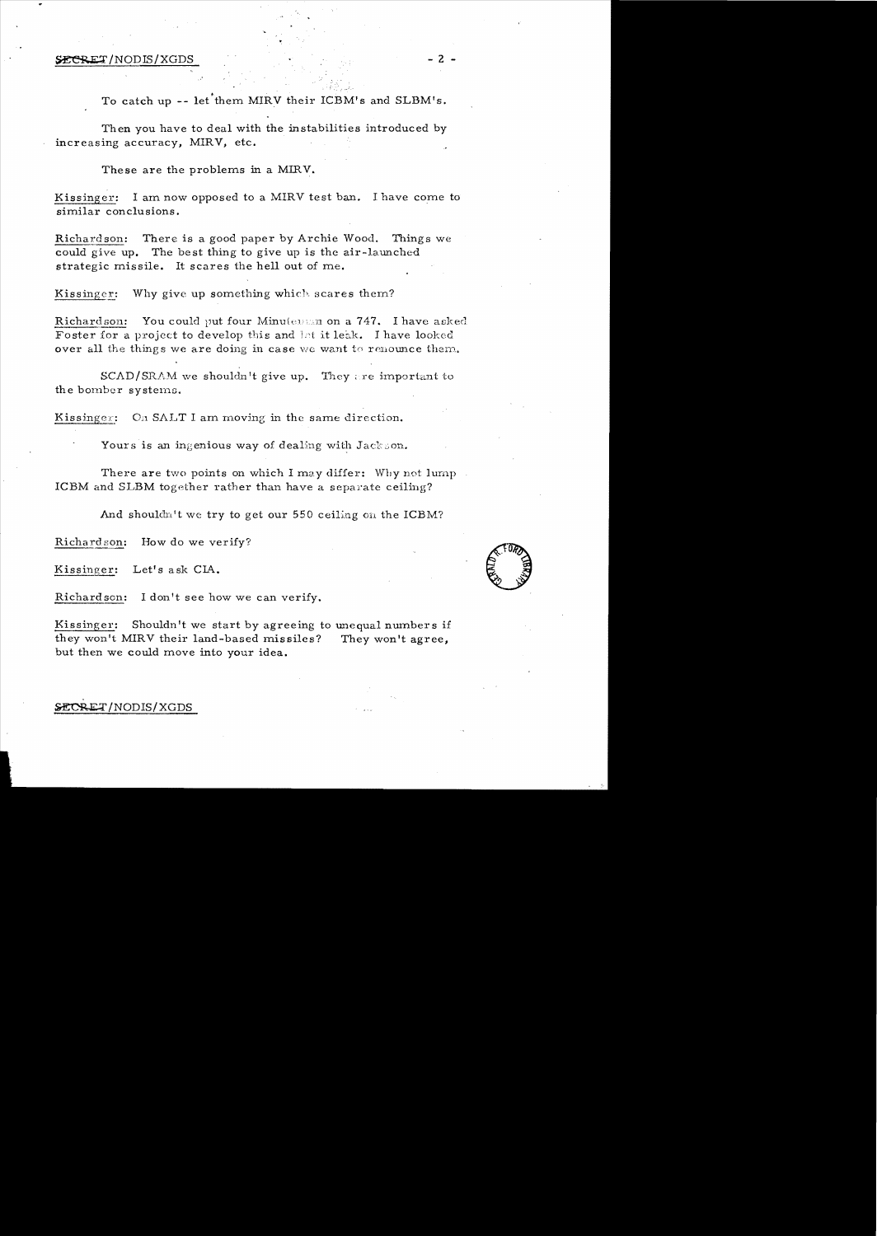## ~/NODIS/XGDS - 2

To catch up -- let them MIRV their ICBM's and SLBM's.

Then you have to deal with the instabilities introduced by increasing accuracy, MIRV, etc.

These are the problems in a MIRV.

Kissinger: I am now opposed to a MIRV test ban. I have come to similar conclusions.

Richardson: There is a good paper by Archie Wood. Things we could give up. The best thing to give up is the air-launched strategic missile. It scares the hell out of me.

Kissinger: Why give up something which scares them?

Richardson: You could put four Minutensin on a 747. I have asked Foster for a project to develop this and let it leak. I have looked over all the things we are doing in case we want to renounce them.

 $SCAD/SRAM$  we shouldn't give up. They are important to the bomber systems.

Kissinger: On SALT I am moving in the same direction.

Yours is an ingenious way of dealing with Jackson.

There are two points on which I may differ: Why not lump. ICBM and SLBM together rather than have a separate ceiling?

And shouldn't we try to get our  $550$  ceiling on the ICBM?

Richardson: How do we verify?

Kissinger: Let's ask CIA.

Richardson: I don't see how we can verify.

Kissinger: Shouldn't we start by agreeing to unequal numbers if they won't MIRV their land-based missiles? They won't agree, but then we could move into your idea .

## SECRET/NODIS/XGDS

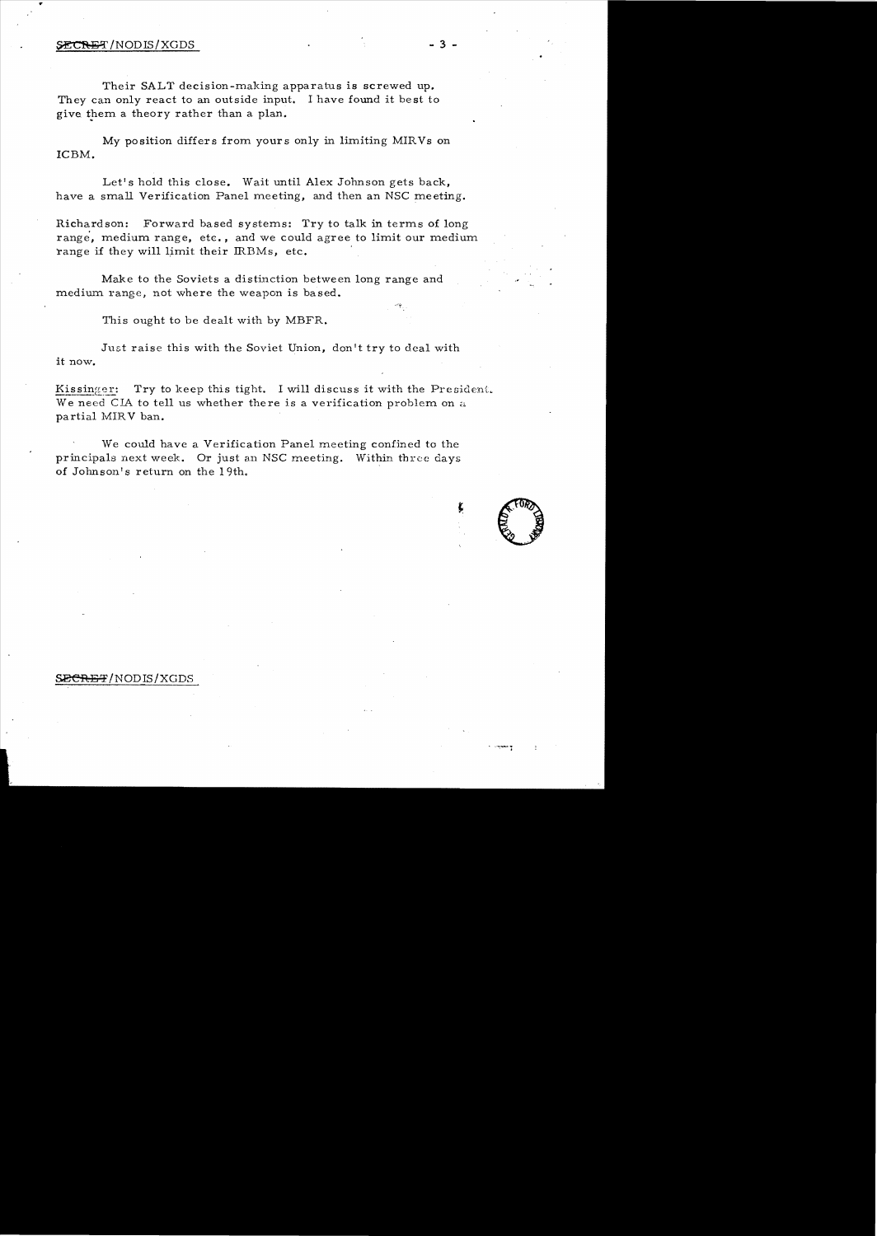### $SECREF/NODIS/XGDS$  - 3 -

Their SALT decision-making apparatus is screwed up. They can only react to an outside input. I have found it best to give them a theory rather than a plan.

My position differs from yours only in limiting MIRVs on ICBM.

Let's hold this close. Wait until Alex Johnson gets back, have a small Verification Panel meeting, and then an NSC meeting.

Richardson: Forward based systems: Try to talk in terms of long range, medium range, ete., and we could agree to limit our medium range if they will limit their IRBMs, etc.

Make to the Soviets a distinction between long range and medium range, not where the weapon is based.

This ought to be dealt with by MBFR.

Just raise this with the Soviet Union, don't try to deal with it now.

Kissinger: Try to keep this tight. I will discuss it with the President. We need CIA to tell us whether there is a verification problem on a partial MIRV ban.

We could have a Verification Panel meeting confined to the principals next week. Or just an NSC meeting. Within three days of Johnson's return on the 19th.

## S<del>ECRET</del>/NODIS/XGDS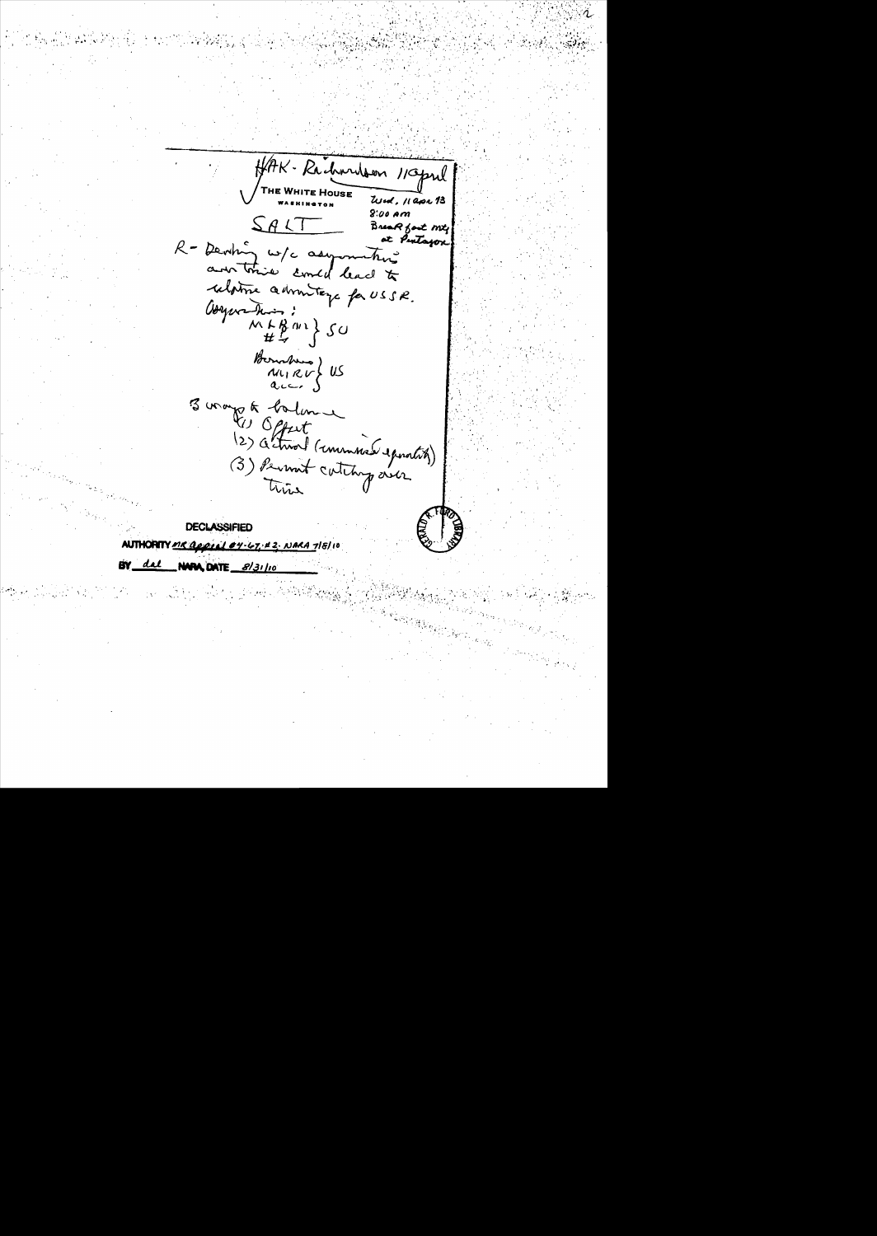HAK-Richardson 1/0pml  $8:00$  Am  $SAT$ Break fast my at Pentagon R = Deving w/c asymmetric relative admittage for USSR. Congeration :<br>11 + B m = } SU Boundary US<br>ALIRUS US 3 vroyes d'aliment<br>(2) Actival (emergence)<br>(3) Permit continguerer **DECLASSIFIED** MR George 04-67-22 NARA 718/10

**AUTHORN** 

**BY** <u>dal</u>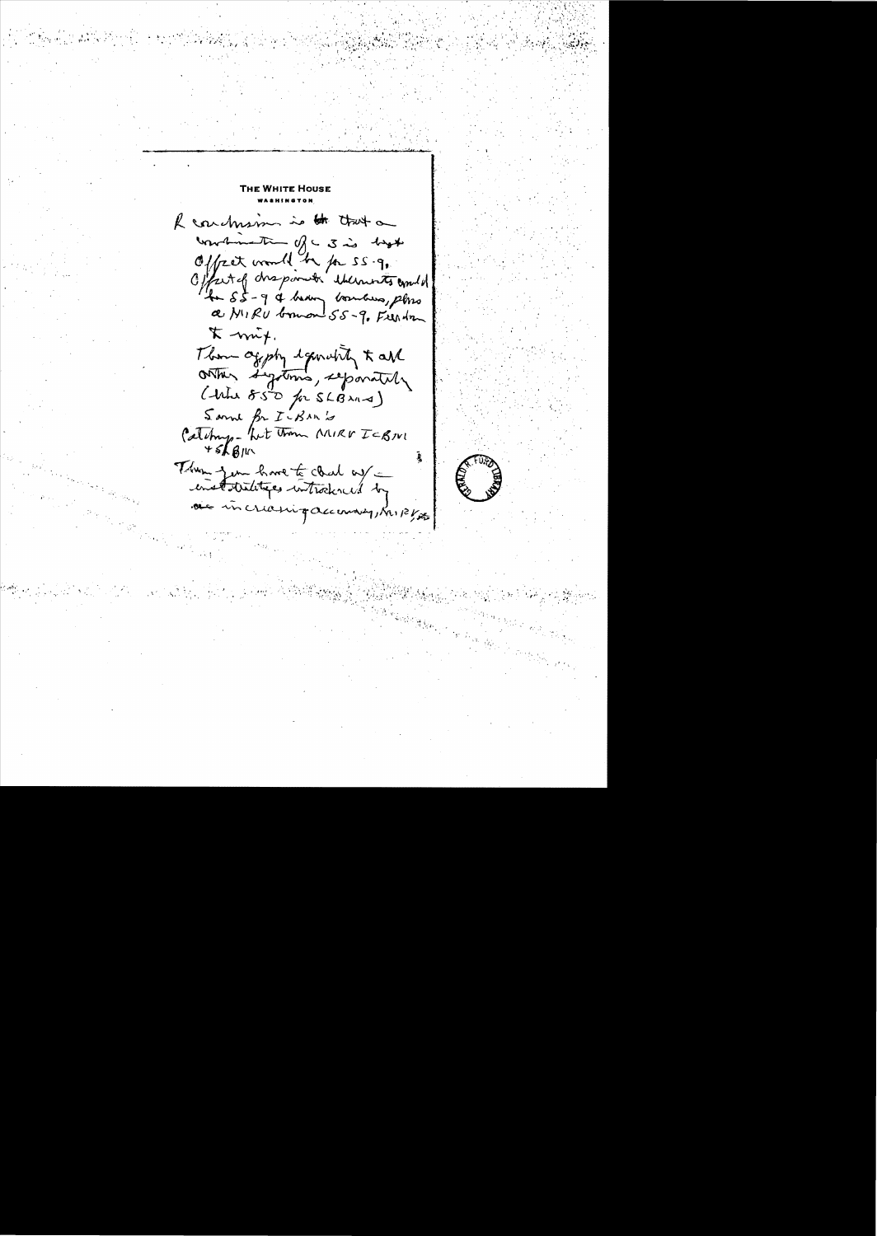R conchism is to trut on wardmental of a 3 is hopt Offret would be for SS.g. Offertig disponder thermosts comments 4 55 - 9 & howy bombus, plus a NIRU bonan 55-9. Frendra  $\kappa$  -mix. Them aggsty equality to all ontar signtoms, separately ( the 850 for SLB 211-4) Sam for ICBANG Catching - but them MIRV ICBNI Them you have to clark out enstatutings introduced by de incremiquemony, Kript

**THE WHITE HOUSE** 

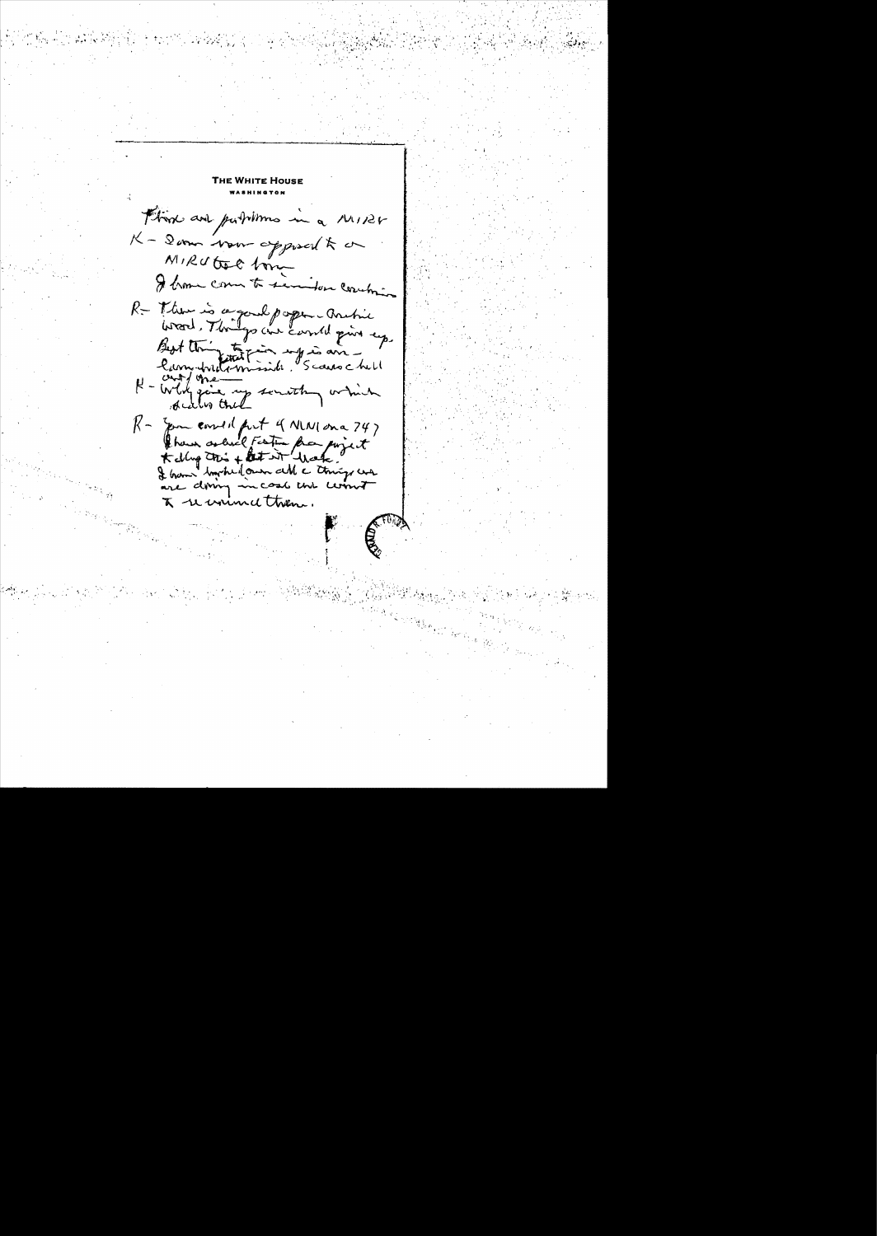**E WHITE HOUSE** Think and putilimes in a MIRV K - Dom Now approach to a MIRUtec bon I home come to semilor couching R = There is a good poper - Archie<br>Wood, Things are could give up. Best thing that minister and in the  $R-$  Jam correct port of NWI on a 247 than solid Fatin fra poisit are doing in case un comme  $\pi$  recomment them.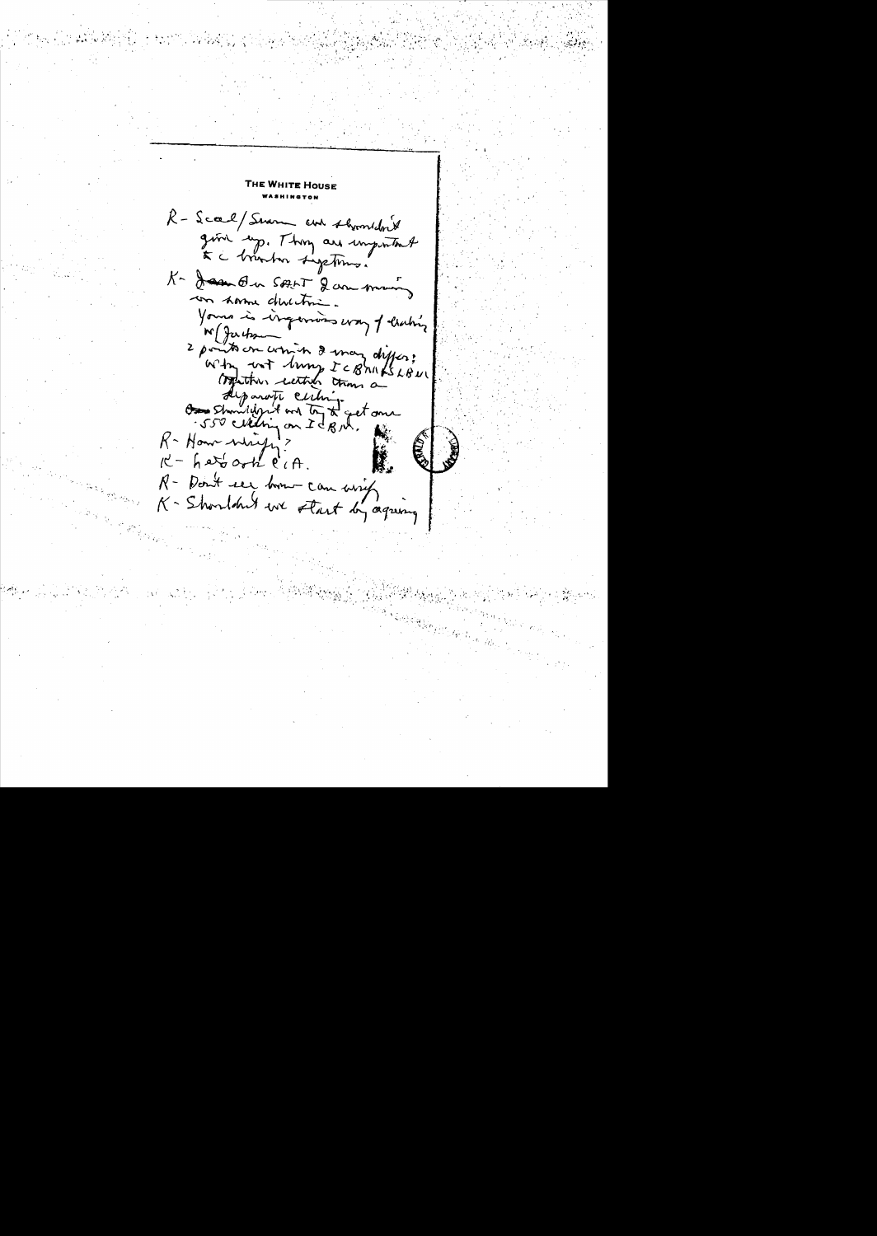THE WHITE HOUSE R-Score/Swam and thermidn't give up. They are important te a branhon sigetoms. K- Jam On SALT 2 am many con some devention. Yours is ingermos way of listing M Jackson 2 points on which I may differ; Why not lung ICBhills LBUL traction with trans a Alparati cultimes et anne  $R$  - How which ?  $R - h$  at oth  $l'$   $R$ . R- Don't see from can write K- Shouldn't we start by agreeing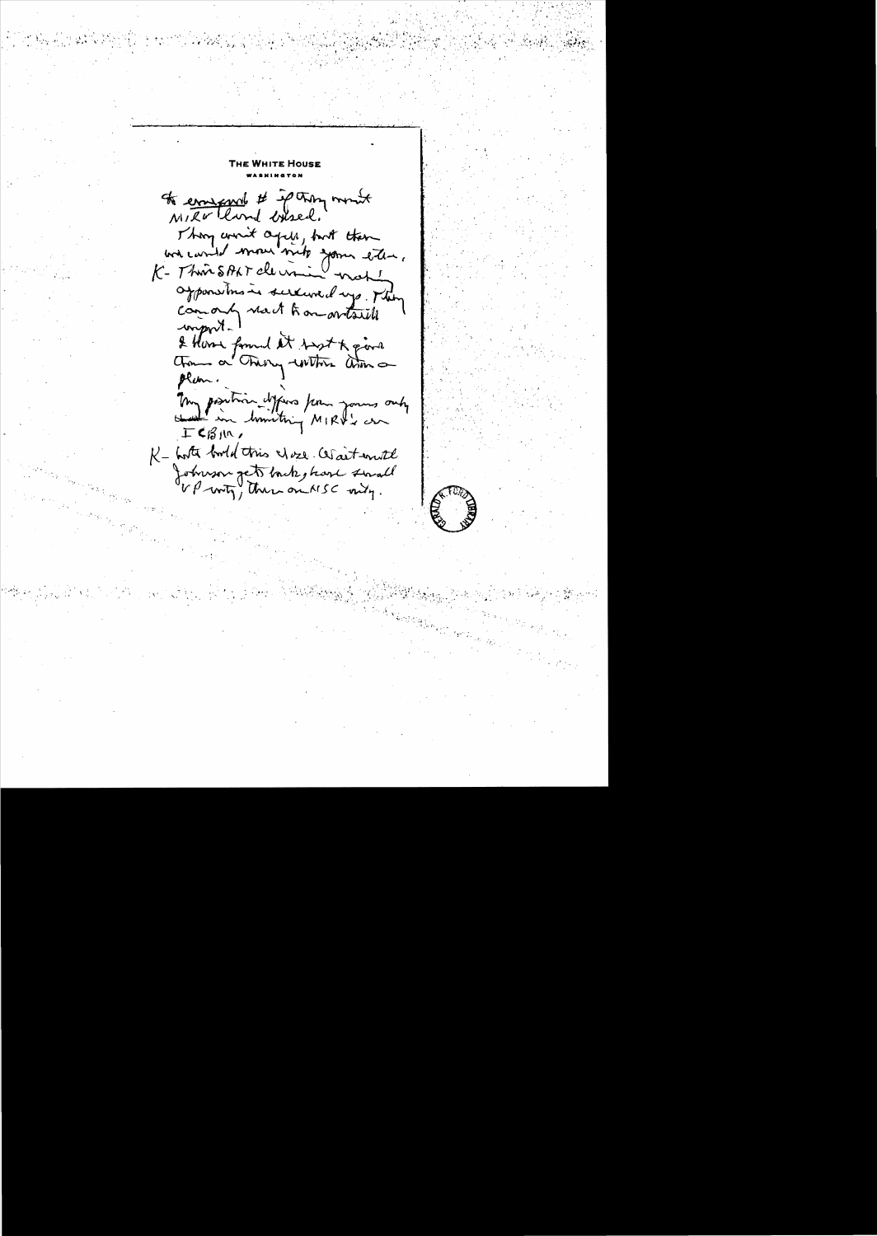Тне Wніте Нове to empered # ip they mount Thon win't agin, but then we cando mous vito your eter. K- This SPAT dermin not apponentes is sure une days. They comonly react to an artsull mport. & Horse formed at sept & give plan. my position defens from yours only ICBIN, K - hosta bord this was contented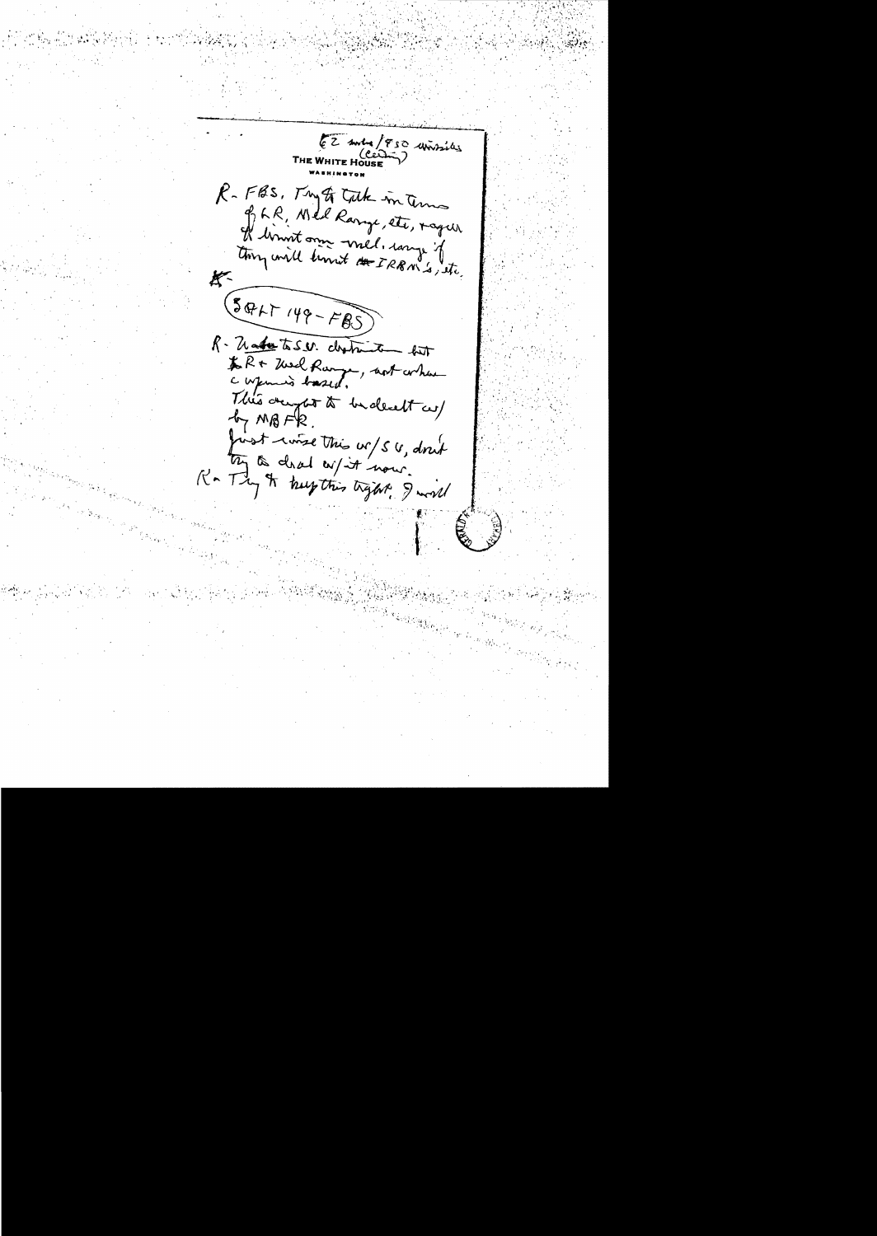EZ Anta/850 unissiles R-FBS, Try of Take in Temos P, LR, Wed Range, etc, raque H limit onne mel. comp. of tory will know the IRBM's, itc.  $(504 + 149 - FBS)$ R- Madastaser. destruite bit to R+ Thed Range, not when This dayof to be dealt us  $47 MBFR$ . first course this w/SU, don't try a closed on it now.<br>K- Try It keep this trykt, I will